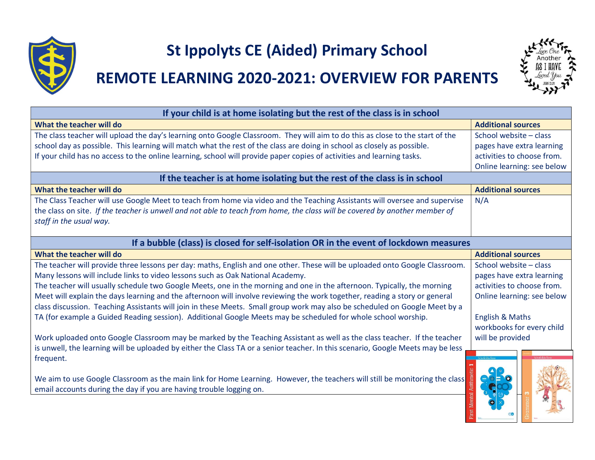

## St Ippolyts CE (Aided) Primary School

## REMOTE LEARNING 2020-2021: OVERVIEW FOR PARENTS



| If your child is at home isolating but the rest of the class is in school                                                                                                                                                                                                            |                                                     |  |
|--------------------------------------------------------------------------------------------------------------------------------------------------------------------------------------------------------------------------------------------------------------------------------------|-----------------------------------------------------|--|
| What the teacher will do                                                                                                                                                                                                                                                             | <b>Additional sources</b>                           |  |
| The class teacher will upload the day's learning onto Google Classroom. They will aim to do this as close to the start of the<br>school day as possible. This learning will match what the rest of the class are doing in school as closely as possible.                             | School website - class<br>pages have extra learning |  |
| If your child has no access to the online learning, school will provide paper copies of activities and learning tasks.                                                                                                                                                               | activities to choose from.                          |  |
|                                                                                                                                                                                                                                                                                      | Online learning: see below                          |  |
| If the teacher is at home isolating but the rest of the class is in school                                                                                                                                                                                                           |                                                     |  |
| What the teacher will do                                                                                                                                                                                                                                                             | <b>Additional sources</b>                           |  |
| The Class Teacher will use Google Meet to teach from home via video and the Teaching Assistants will oversee and supervise<br>the class on site. If the teacher is unwell and not able to teach from home, the class will be covered by another member of<br>staff in the usual way. | N/A                                                 |  |
| If a bubble (class) is closed for self-isolation OR in the event of lockdown measures                                                                                                                                                                                                |                                                     |  |
| What the teacher will do                                                                                                                                                                                                                                                             | <b>Additional sources</b>                           |  |
| The teacher will provide three lessons per day: maths, English and one other. These will be uploaded onto Google Classroom.                                                                                                                                                          | School website - class                              |  |
| Many lessons will include links to video lessons such as Oak National Academy.                                                                                                                                                                                                       | pages have extra learning                           |  |
| The teacher will usually schedule two Google Meets, one in the morning and one in the afternoon. Typically, the morning                                                                                                                                                              | activities to choose from.                          |  |
| Meet will explain the days learning and the afternoon will involve reviewing the work together, reading a story or general<br>class discussion. Teaching Assistants will join in these Meets. Small group work may also be scheduled on Google Meet by a                             | Online learning: see below                          |  |
| TA (for example a Guided Reading session). Additional Google Meets may be scheduled for whole school worship.                                                                                                                                                                        | <b>English &amp; Maths</b>                          |  |
|                                                                                                                                                                                                                                                                                      | workbooks for every child                           |  |
| Work uploaded onto Google Classroom may be marked by the Teaching Assistant as well as the class teacher. If the teacher                                                                                                                                                             | will be provided                                    |  |
| is unwell, the learning will be uploaded by either the Class TA or a senior teacher. In this scenario, Google Meets may be less<br>frequent.                                                                                                                                         |                                                     |  |
| We aim to use Google Classroom as the main link for Home Learning. However, the teachers will still be monitoring the class<br>email accounts during the day if you are having trouble logging on.                                                                                   |                                                     |  |